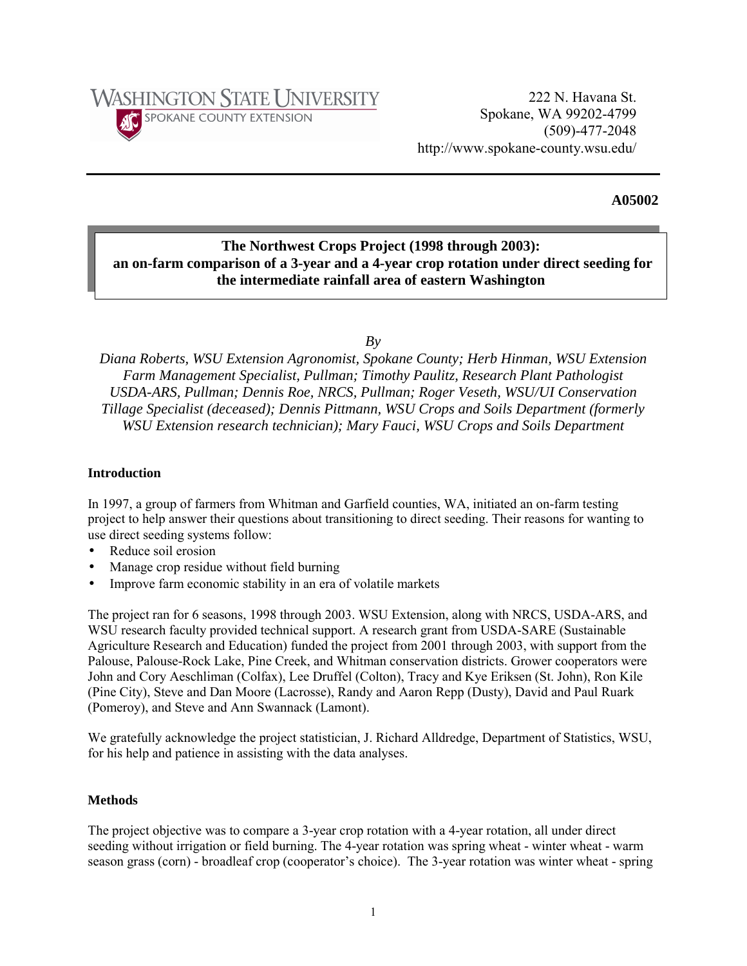

# **A05002**

# **The Northwest Crops Project (1998 through 2003): an on-farm comparison of a 3-year and a 4-year crop rotation under direct seeding for the intermediate rainfall area of eastern Washington**

*By* 

*Diana Roberts, WSU Extension Agronomist, Spokane County; Herb Hinman, WSU Extension Farm Management Specialist, Pullman; Timothy Paulitz, Research Plant Pathologist USDA-ARS, Pullman; Dennis Roe, NRCS, Pullman; Roger Veseth, WSU/UI Conservation Tillage Specialist (deceased); Dennis Pittmann, WSU Crops and Soils Department (formerly WSU Extension research technician); Mary Fauci, WSU Crops and Soils Department* 

# **Introduction**

In 1997, a group of farmers from Whitman and Garfield counties, WA, initiated an on-farm testing project to help answer their questions about transitioning to direct seeding. Their reasons for wanting to use direct seeding systems follow:

- Reduce soil erosion
- Manage crop residue without field burning
- Improve farm economic stability in an era of volatile markets

The project ran for 6 seasons, 1998 through 2003. WSU Extension, along with NRCS, USDA-ARS, and WSU research faculty provided technical support. A research grant from USDA-SARE (Sustainable Agriculture Research and Education) funded the project from 2001 through 2003, with support from the Palouse, Palouse-Rock Lake, Pine Creek, and Whitman conservation districts. Grower cooperators were John and Cory Aeschliman (Colfax), Lee Druffel (Colton), Tracy and Kye Eriksen (St. John), Ron Kile (Pine City), Steve and Dan Moore (Lacrosse), Randy and Aaron Repp (Dusty), David and Paul Ruark (Pomeroy), and Steve and Ann Swannack (Lamont).

We gratefully acknowledge the project statistician, J. Richard Alldredge, Department of Statistics, WSU, for his help and patience in assisting with the data analyses.

### **Methods**

The project objective was to compare a 3-year crop rotation with a 4-year rotation, all under direct seeding without irrigation or field burning. The 4-year rotation was spring wheat - winter wheat - warm season grass (corn) - broadleaf crop (cooperator's choice). The 3-year rotation was winter wheat - spring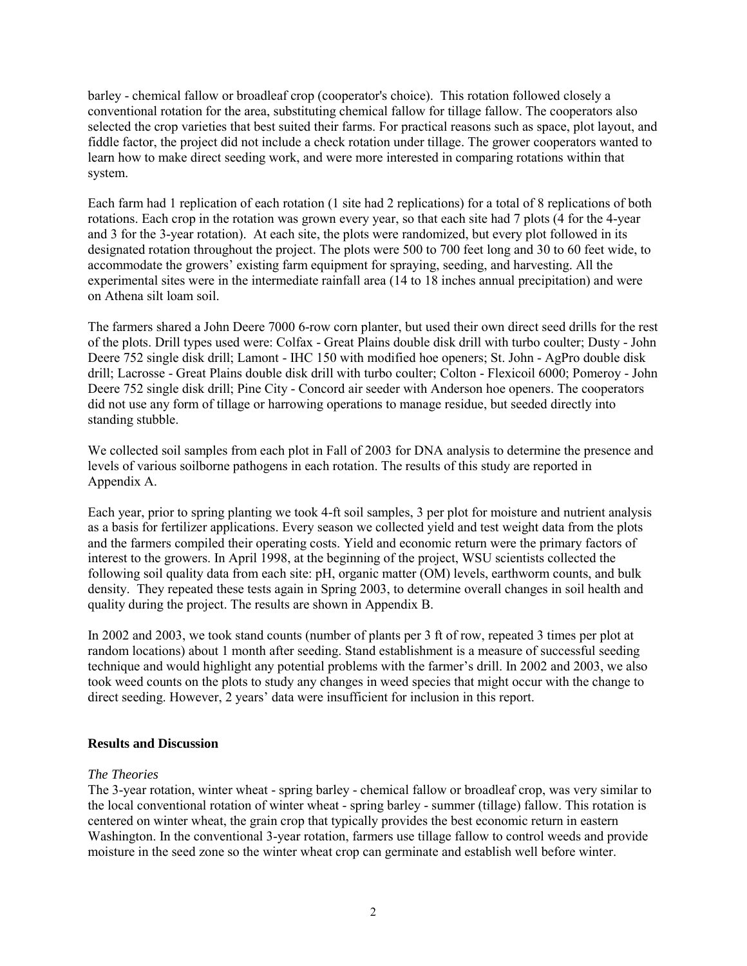barley - chemical fallow or broadleaf crop (cooperator's choice). This rotation followed closely a conventional rotation for the area, substituting chemical fallow for tillage fallow. The cooperators also selected the crop varieties that best suited their farms. For practical reasons such as space, plot layout, and fiddle factor, the project did not include a check rotation under tillage. The grower cooperators wanted to learn how to make direct seeding work, and were more interested in comparing rotations within that system.

Each farm had 1 replication of each rotation (1 site had 2 replications) for a total of 8 replications of both rotations. Each crop in the rotation was grown every year, so that each site had 7 plots (4 for the 4-year and 3 for the 3-year rotation). At each site, the plots were randomized, but every plot followed in its designated rotation throughout the project. The plots were 500 to 700 feet long and 30 to 60 feet wide, to accommodate the growers' existing farm equipment for spraying, seeding, and harvesting. All the experimental sites were in the intermediate rainfall area (14 to 18 inches annual precipitation) and were on Athena silt loam soil.

The farmers shared a John Deere 7000 6-row corn planter, but used their own direct seed drills for the rest of the plots. Drill types used were: Colfax - Great Plains double disk drill with turbo coulter; Dusty - John Deere 752 single disk drill; Lamont - IHC 150 with modified hoe openers; St. John - AgPro double disk drill; Lacrosse - Great Plains double disk drill with turbo coulter; Colton - Flexicoil 6000; Pomeroy - John Deere 752 single disk drill; Pine City - Concord air seeder with Anderson hoe openers. The cooperators did not use any form of tillage or harrowing operations to manage residue, but seeded directly into standing stubble.

We collected soil samples from each plot in Fall of 2003 for DNA analysis to determine the presence and levels of various soilborne pathogens in each rotation. The results of this study are reported in Appendix A.

Each year, prior to spring planting we took 4-ft soil samples, 3 per plot for moisture and nutrient analysis as a basis for fertilizer applications. Every season we collected yield and test weight data from the plots and the farmers compiled their operating costs. Yield and economic return were the primary factors of interest to the growers. In April 1998, at the beginning of the project, WSU scientists collected the following soil quality data from each site: pH, organic matter (OM) levels, earthworm counts, and bulk density. They repeated these tests again in Spring 2003, to determine overall changes in soil health and quality during the project. The results are shown in Appendix B.

In 2002 and 2003, we took stand counts (number of plants per 3 ft of row, repeated 3 times per plot at random locations) about 1 month after seeding. Stand establishment is a measure of successful seeding technique and would highlight any potential problems with the farmer's drill. In 2002 and 2003, we also took weed counts on the plots to study any changes in weed species that might occur with the change to direct seeding. However, 2 years' data were insufficient for inclusion in this report.

### **Results and Discussion**

#### *The Theories*

The 3-year rotation, winter wheat - spring barley - chemical fallow or broadleaf crop, was very similar to the local conventional rotation of winter wheat - spring barley - summer (tillage) fallow. This rotation is centered on winter wheat, the grain crop that typically provides the best economic return in eastern Washington. In the conventional 3-year rotation, farmers use tillage fallow to control weeds and provide moisture in the seed zone so the winter wheat crop can germinate and establish well before winter.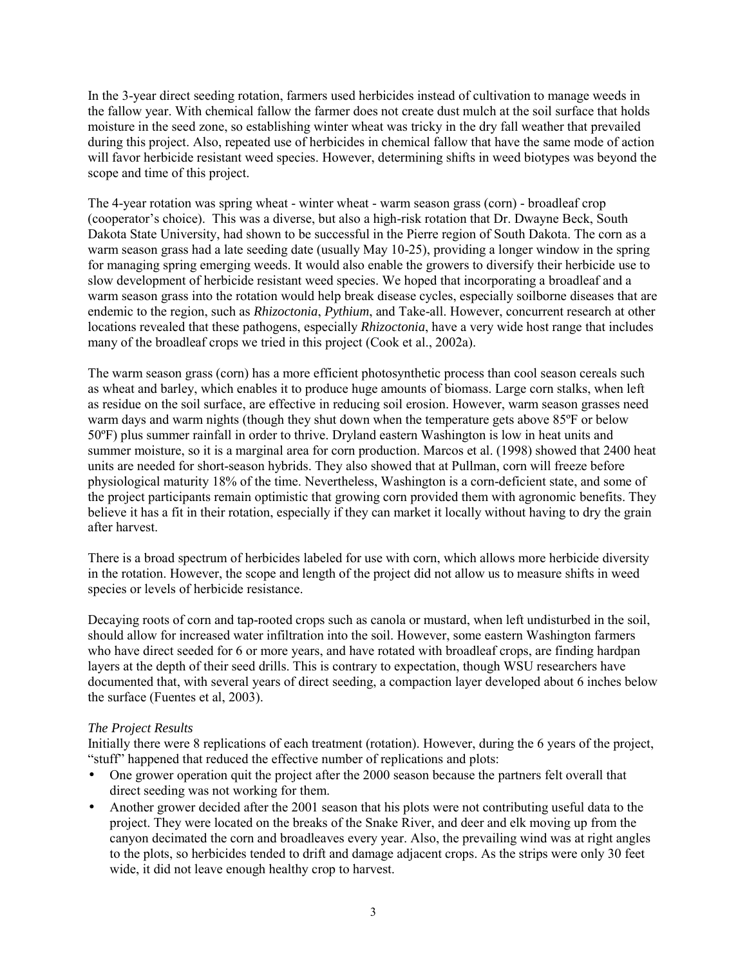In the 3-year direct seeding rotation, farmers used herbicides instead of cultivation to manage weeds in the fallow year. With chemical fallow the farmer does not create dust mulch at the soil surface that holds moisture in the seed zone, so establishing winter wheat was tricky in the dry fall weather that prevailed during this project. Also, repeated use of herbicides in chemical fallow that have the same mode of action will favor herbicide resistant weed species. However, determining shifts in weed biotypes was beyond the scope and time of this project.

The 4-year rotation was spring wheat - winter wheat - warm season grass (corn) - broadleaf crop (cooperator's choice). This was a diverse, but also a high-risk rotation that Dr. Dwayne Beck, South Dakota State University, had shown to be successful in the Pierre region of South Dakota. The corn as a warm season grass had a late seeding date (usually May 10-25), providing a longer window in the spring for managing spring emerging weeds. It would also enable the growers to diversify their herbicide use to slow development of herbicide resistant weed species. We hoped that incorporating a broadleaf and a warm season grass into the rotation would help break disease cycles, especially soilborne diseases that are endemic to the region, such as *Rhizoctonia*, *Pythium*, and Take-all. However, concurrent research at other locations revealed that these pathogens, especially *Rhizoctonia*, have a very wide host range that includes many of the broadleaf crops we tried in this project (Cook et al., 2002a).

The warm season grass (corn) has a more efficient photosynthetic process than cool season cereals such as wheat and barley, which enables it to produce huge amounts of biomass. Large corn stalks, when left as residue on the soil surface, are effective in reducing soil erosion. However, warm season grasses need warm days and warm nights (though they shut down when the temperature gets above 85°F or below 50ºF) plus summer rainfall in order to thrive. Dryland eastern Washington is low in heat units and summer moisture, so it is a marginal area for corn production. Marcos et al. (1998) showed that 2400 heat units are needed for short-season hybrids. They also showed that at Pullman, corn will freeze before physiological maturity 18% of the time. Nevertheless, Washington is a corn-deficient state, and some of the project participants remain optimistic that growing corn provided them with agronomic benefits. They believe it has a fit in their rotation, especially if they can market it locally without having to dry the grain after harvest.

There is a broad spectrum of herbicides labeled for use with corn, which allows more herbicide diversity in the rotation. However, the scope and length of the project did not allow us to measure shifts in weed species or levels of herbicide resistance.

Decaying roots of corn and tap-rooted crops such as canola or mustard, when left undisturbed in the soil, should allow for increased water infiltration into the soil. However, some eastern Washington farmers who have direct seeded for 6 or more years, and have rotated with broadleaf crops, are finding hardpan layers at the depth of their seed drills. This is contrary to expectation, though WSU researchers have documented that, with several years of direct seeding, a compaction layer developed about 6 inches below the surface (Fuentes et al, 2003).

# *The Project Results*

Initially there were 8 replications of each treatment (rotation). However, during the 6 years of the project, "stuff" happened that reduced the effective number of replications and plots:

- One grower operation quit the project after the 2000 season because the partners felt overall that direct seeding was not working for them.
- Another grower decided after the 2001 season that his plots were not contributing useful data to the project. They were located on the breaks of the Snake River, and deer and elk moving up from the canyon decimated the corn and broadleaves every year. Also, the prevailing wind was at right angles to the plots, so herbicides tended to drift and damage adjacent crops. As the strips were only 30 feet wide, it did not leave enough healthy crop to harvest.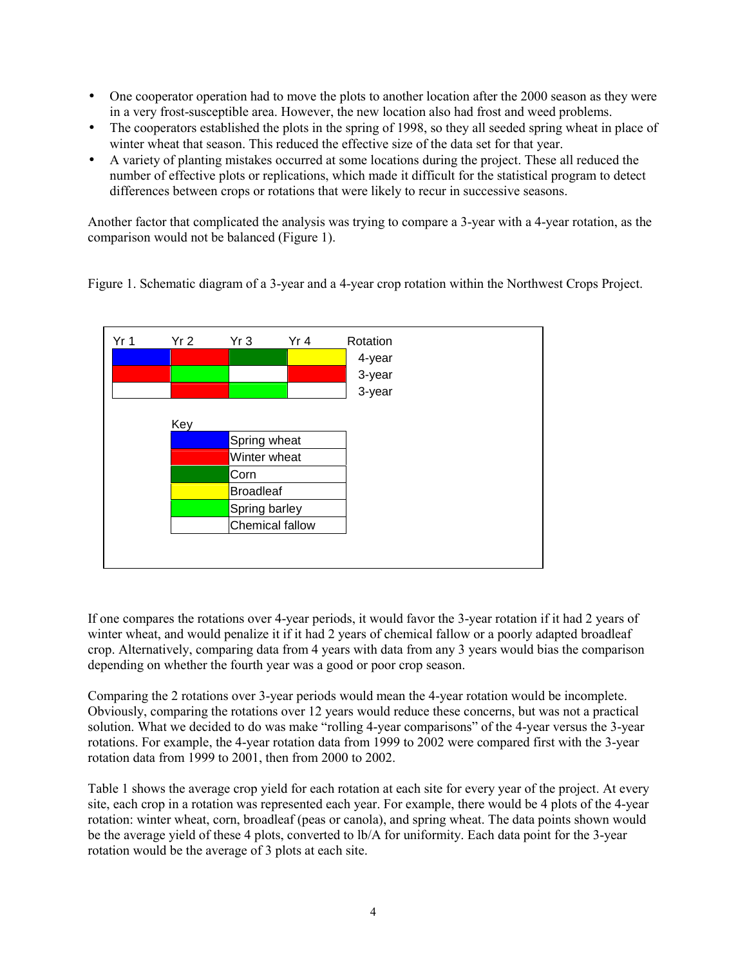- One cooperator operation had to move the plots to another location after the 2000 season as they were in a very frost-susceptible area. However, the new location also had frost and weed problems.
- The cooperators established the plots in the spring of 1998, so they all seeded spring wheat in place of winter wheat that season. This reduced the effective size of the data set for that year.
- A variety of planting mistakes occurred at some locations during the project. These all reduced the number of effective plots or replications, which made it difficult for the statistical program to detect differences between crops or rotations that were likely to recur in successive seasons.

Another factor that complicated the analysis was trying to compare a 3-year with a 4-year rotation, as the comparison would not be balanced (Figure 1).

Figure 1. Schematic diagram of a 3-year and a 4-year crop rotation within the Northwest Crops Project.



If one compares the rotations over 4-year periods, it would favor the 3-year rotation if it had 2 years of winter wheat, and would penalize it if it had 2 years of chemical fallow or a poorly adapted broadleaf crop. Alternatively, comparing data from 4 years with data from any 3 years would bias the comparison depending on whether the fourth year was a good or poor crop season.

Comparing the 2 rotations over 3-year periods would mean the 4-year rotation would be incomplete. Obviously, comparing the rotations over 12 years would reduce these concerns, but was not a practical solution. What we decided to do was make "rolling 4-year comparisons" of the 4-year versus the 3-year rotations. For example, the 4-year rotation data from 1999 to 2002 were compared first with the 3-year rotation data from 1999 to 2001, then from 2000 to 2002.

Table 1 shows the average crop yield for each rotation at each site for every year of the project. At every site, each crop in a rotation was represented each year. For example, there would be 4 plots of the 4-year rotation: winter wheat, corn, broadleaf (peas or canola), and spring wheat. The data points shown would be the average yield of these 4 plots, converted to lb/A for uniformity. Each data point for the 3-year rotation would be the average of 3 plots at each site.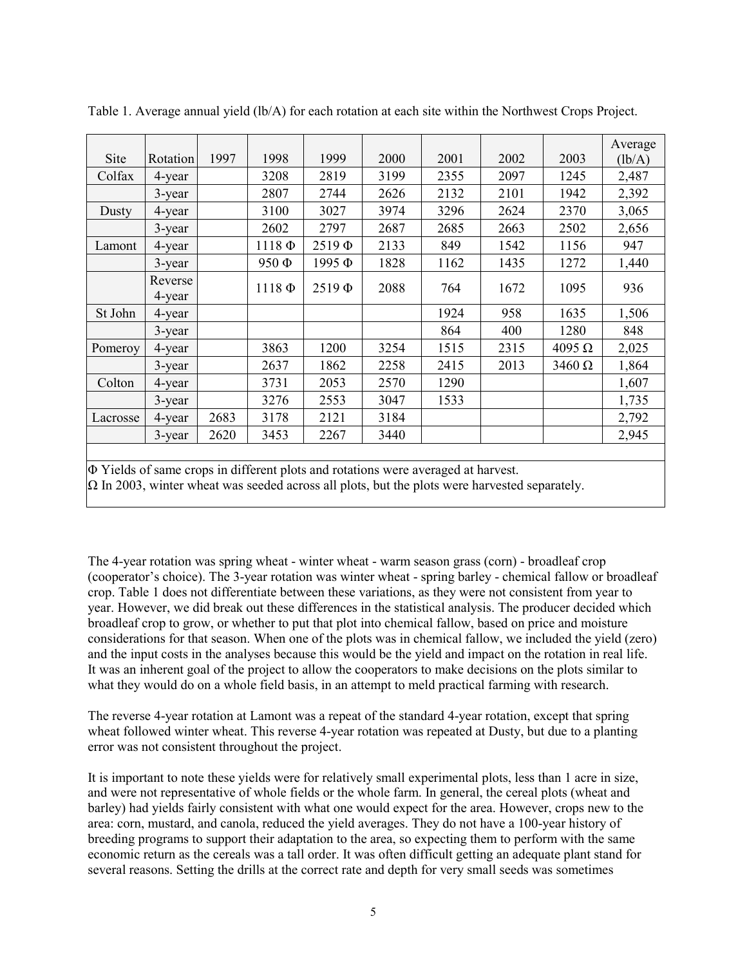|                                                                                               |           |      |             |             |      |      |      |               | Average |
|-----------------------------------------------------------------------------------------------|-----------|------|-------------|-------------|------|------|------|---------------|---------|
| Site                                                                                          | Rotation  | 1997 | 1998        | 1999        | 2000 | 2001 | 2002 | 2003          | (lb/A)  |
| Colfax                                                                                        | 4-year    |      | 3208        | 2819        | 3199 | 2355 | 2097 | 1245          | 2,487   |
|                                                                                               | 3-year    |      | 2807        | 2744        | 2626 | 2132 | 2101 | 1942          | 2,392   |
| Dusty                                                                                         | 4-year    |      | 3100        | 3027        | 3974 | 3296 | 2624 | 2370          | 3,065   |
|                                                                                               | $3$ -year |      | 2602        | 2797        | 2687 | 2685 | 2663 | 2502          | 2,656   |
| Lamont                                                                                        | 4-year    |      | $1118 \Phi$ | $2519 \Phi$ | 2133 | 849  | 1542 | 1156          | 947     |
|                                                                                               | $3$ -year |      | 950 Ф       | 1995Ф       | 1828 | 1162 | 1435 | 1272          | 1,440   |
|                                                                                               | Reverse   |      |             |             |      |      |      |               |         |
|                                                                                               | 4-year    |      | $1118 \Phi$ | $2519 \Phi$ | 2088 | 764  | 1672 | 1095          | 936     |
| St John                                                                                       | 4-year    |      |             |             |      | 1924 | 958  | 1635          | 1,506   |
|                                                                                               | 3-year    |      |             |             |      | 864  | 400  | 1280          | 848     |
| Pomeroy                                                                                       | 4-year    |      | 3863        | 1200        | 3254 | 1515 | 2315 | $4095 \Omega$ | 2,025   |
|                                                                                               | 3-year    |      | 2637        | 1862        | 2258 | 2415 | 2013 | $3460 \Omega$ | 1,864   |
| Colton                                                                                        | 4-year    |      | 3731        | 2053        | 2570 | 1290 |      |               | 1,607   |
|                                                                                               | 3-year    |      | 3276        | 2553        | 3047 | 1533 |      |               | 1,735   |
| Lacrosse                                                                                      | 4-year    | 2683 | 3178        | 2121        | 3184 |      |      |               | 2,792   |
|                                                                                               | 3-year    | 2620 | 3453        | 2267        | 3440 |      |      |               | 2,945   |
|                                                                                               |           |      |             |             |      |      |      |               |         |
| D <sub>0</sub> Vields of same crops in different plots and rotations were averaged at harvest |           |      |             |             |      |      |      |               |         |

Table 1. Average annual yield (lb/A) for each rotation at each site within the Northwest Crops Project.

Yields of same crops in different plots and rotations were averaged at harvest.

 $\Omega$  In 2003, winter wheat was seeded across all plots, but the plots were harvested separately.

The 4-year rotation was spring wheat - winter wheat - warm season grass (corn) - broadleaf crop (cooperator's choice). The 3-year rotation was winter wheat - spring barley - chemical fallow or broadleaf crop. Table 1 does not differentiate between these variations, as they were not consistent from year to year. However, we did break out these differences in the statistical analysis. The producer decided which broadleaf crop to grow, or whether to put that plot into chemical fallow, based on price and moisture considerations for that season. When one of the plots was in chemical fallow, we included the yield (zero) and the input costs in the analyses because this would be the yield and impact on the rotation in real life. It was an inherent goal of the project to allow the cooperators to make decisions on the plots similar to what they would do on a whole field basis, in an attempt to meld practical farming with research.

The reverse 4-year rotation at Lamont was a repeat of the standard 4-year rotation, except that spring wheat followed winter wheat. This reverse 4-year rotation was repeated at Dusty, but due to a planting error was not consistent throughout the project.

It is important to note these yields were for relatively small experimental plots, less than 1 acre in size, and were not representative of whole fields or the whole farm. In general, the cereal plots (wheat and barley) had yields fairly consistent with what one would expect for the area. However, crops new to the area: corn, mustard, and canola, reduced the yield averages. They do not have a 100-year history of breeding programs to support their adaptation to the area, so expecting them to perform with the same economic return as the cereals was a tall order. It was often difficult getting an adequate plant stand for several reasons. Setting the drills at the correct rate and depth for very small seeds was sometimes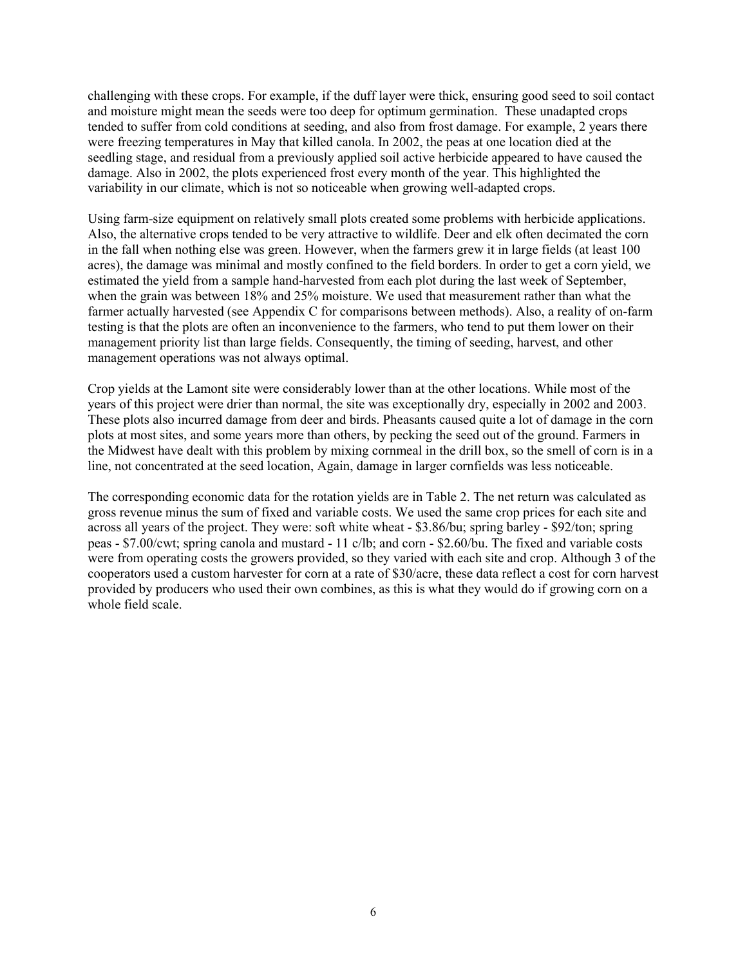challenging with these crops. For example, if the duff layer were thick, ensuring good seed to soil contact and moisture might mean the seeds were too deep for optimum germination. These unadapted crops tended to suffer from cold conditions at seeding, and also from frost damage. For example, 2 years there were freezing temperatures in May that killed canola. In 2002, the peas at one location died at the seedling stage, and residual from a previously applied soil active herbicide appeared to have caused the damage. Also in 2002, the plots experienced frost every month of the year. This highlighted the variability in our climate, which is not so noticeable when growing well-adapted crops.

Using farm-size equipment on relatively small plots created some problems with herbicide applications. Also, the alternative crops tended to be very attractive to wildlife. Deer and elk often decimated the corn in the fall when nothing else was green. However, when the farmers grew it in large fields (at least 100 acres), the damage was minimal and mostly confined to the field borders. In order to get a corn yield, we estimated the yield from a sample hand-harvested from each plot during the last week of September, when the grain was between 18% and 25% moisture. We used that measurement rather than what the farmer actually harvested (see Appendix C for comparisons between methods). Also, a reality of on-farm testing is that the plots are often an inconvenience to the farmers, who tend to put them lower on their management priority list than large fields. Consequently, the timing of seeding, harvest, and other management operations was not always optimal.

Crop yields at the Lamont site were considerably lower than at the other locations. While most of the years of this project were drier than normal, the site was exceptionally dry, especially in 2002 and 2003. These plots also incurred damage from deer and birds. Pheasants caused quite a lot of damage in the corn plots at most sites, and some years more than others, by pecking the seed out of the ground. Farmers in the Midwest have dealt with this problem by mixing cornmeal in the drill box, so the smell of corn is in a line, not concentrated at the seed location, Again, damage in larger cornfields was less noticeable.

The corresponding economic data for the rotation yields are in Table 2. The net return was calculated as gross revenue minus the sum of fixed and variable costs. We used the same crop prices for each site and across all years of the project. They were: soft white wheat - \$3.86/bu; spring barley - \$92/ton; spring peas - \$7.00/cwt; spring canola and mustard - 11 c/lb; and corn - \$2.60/bu. The fixed and variable costs were from operating costs the growers provided, so they varied with each site and crop. Although 3 of the cooperators used a custom harvester for corn at a rate of \$30/acre, these data reflect a cost for corn harvest provided by producers who used their own combines, as this is what they would do if growing corn on a whole field scale.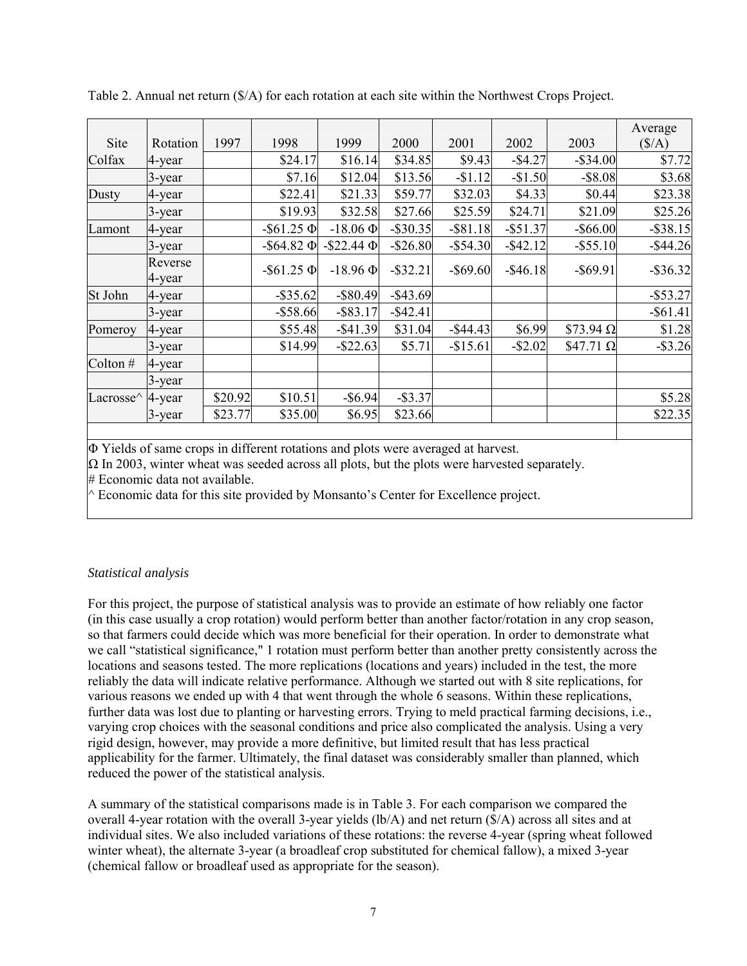| Site                                    | Rotation          | 1997    | 1998               | 1999               | 2000        | 2001        | 2002        | 2003              | Average<br>$(\frac{5}{A})$ |
|-----------------------------------------|-------------------|---------|--------------------|--------------------|-------------|-------------|-------------|-------------------|----------------------------|
| Colfax                                  | 4-year            |         | \$24.17            | \$16.14            | \$34.85     | \$9.43      | $-$4.27$    | $-$ \$34.00       | \$7.72                     |
|                                         | 3-year            |         | \$7.16             | \$12.04            | \$13.56     | $-$1.12$    | $-$1.50$    | $-$ \$8.08        | \$3.68                     |
| Dusty                                   | 4-year            |         | \$22.41            | \$21.33            | \$59.77     | \$32.03     | \$4.33      | \$0.44            | \$23.38                    |
|                                         | 3-year            |         | \$19.93            | \$32.58            | \$27.66     | \$25.59     | \$24.71     | \$21.09           | \$25.26                    |
| Lamont                                  | 4-year            |         | $-$ \$61.25 $\Phi$ | $-18.06 \Phi$      | $-$ \$30.35 | $-$ \$81.18 | $-$ \$51.37 | $-$ \$66.00       | $-$ \$38.15                |
|                                         | 3-year            |         | $-$ \$64.82 $\Phi$ | $-$ \$22.44 $\Phi$ | $-$ \$26.80 | $-$ \$54.30 | $-$ \$42.12 | $-$ \$55.10       | $-$ \$44.26                |
|                                         | Reverse<br>4-year |         | $-$ \$61.25 $\Phi$ | $-18.96 \Phi$      | $-$ \$32.21 | $-$ \$69.60 | $-$ \$46.18 | $-$ \$69.91       | $-$ \$36.32                |
| St John                                 | 4-year            |         | $-$ \$35.62        | $-$ \$80.49        | $-$ \$43.69 |             |             |                   | $-$ \$53.27                |
|                                         | 3-year            |         | $-$ \$58.66        | $-$ \$83.17        | $-$ \$42.41 |             |             |                   | $-$ \$61.41                |
| Pomeroy                                 | 4-year            |         | \$55.48            | $-$ \$41.39        | \$31.04     | $-$ \$44.43 | \$6.99      | $$73.94$ $\Omega$ | \$1.28                     |
|                                         | 3-year            |         | \$14.99            | $-$ \$22.63        | \$5.71      | $-$15.61$   | $-$ \$2.02  | $$47.71$ $\Omega$ | $-$ \$3.26                 |
| Colton#                                 | 4-year            |         |                    |                    |             |             |             |                   |                            |
|                                         | 3-year            |         |                    |                    |             |             |             |                   |                            |
| Lacrosse <sup><math>\wedge</math></sup> | 4-year            | \$20.92 | \$10.51            | $-$ \$6.94         | $-$ \$3.37  |             |             |                   | \$5.28                     |
|                                         | 3-year            | \$23.77 | \$35.00            | \$6.95             | \$23.66     |             |             |                   | \$22.35                    |
|                                         |                   |         |                    |                    |             |             |             |                   |                            |

Table 2. Annual net return (\$/A) for each rotation at each site within the Northwest Crops Project.

Φ Yields of same crops in different rotations and plots were averaged at harvest.

 $\Omega$  In 2003, winter wheat was seeded across all plots, but the plots were harvested separately.

# Economic data not available.

 $\wedge$  Economic data for this site provided by Monsanto's Center for Excellence project.

### *Statistical analysis*

For this project, the purpose of statistical analysis was to provide an estimate of how reliably one factor (in this case usually a crop rotation) would perform better than another factor/rotation in any crop season, so that farmers could decide which was more beneficial for their operation. In order to demonstrate what we call "statistical significance," 1 rotation must perform better than another pretty consistently across the locations and seasons tested. The more replications (locations and years) included in the test, the more reliably the data will indicate relative performance. Although we started out with 8 site replications, for various reasons we ended up with 4 that went through the whole 6 seasons. Within these replications, further data was lost due to planting or harvesting errors. Trying to meld practical farming decisions, i.e., varying crop choices with the seasonal conditions and price also complicated the analysis. Using a very rigid design, however, may provide a more definitive, but limited result that has less practical applicability for the farmer. Ultimately, the final dataset was considerably smaller than planned, which reduced the power of the statistical analysis.

A summary of the statistical comparisons made is in Table 3. For each comparison we compared the overall 4-year rotation with the overall 3-year yields (lb/A) and net return (\$/A) across all sites and at individual sites. We also included variations of these rotations: the reverse 4-year (spring wheat followed winter wheat), the alternate 3-year (a broadleaf crop substituted for chemical fallow), a mixed 3-year (chemical fallow or broadleaf used as appropriate for the season).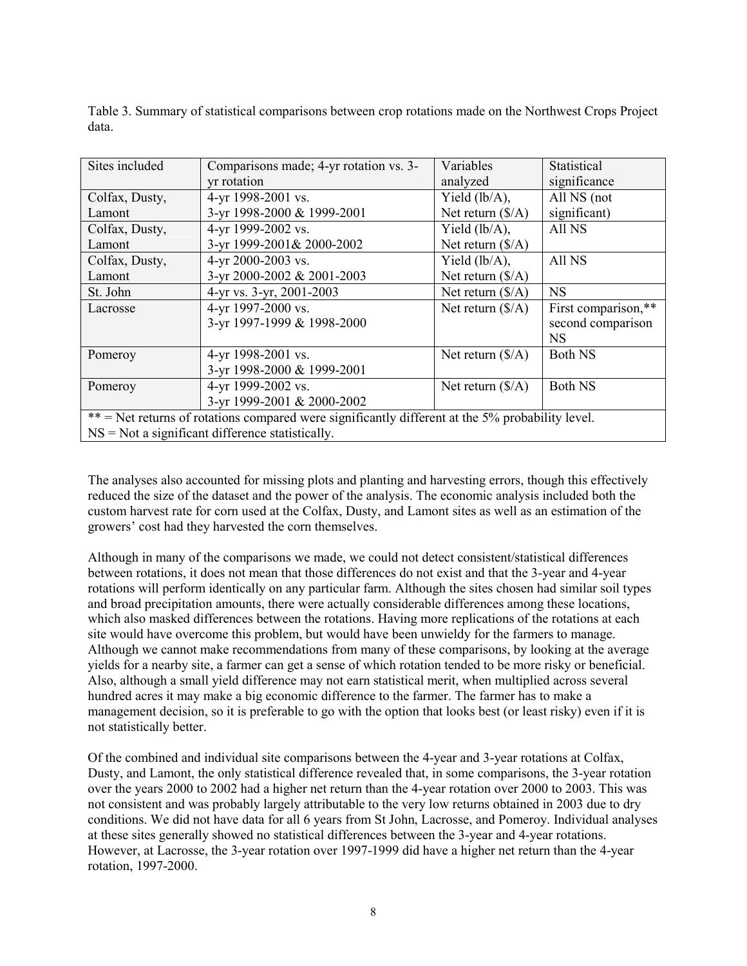Table 3. Summary of statistical comparisons between crop rotations made on the Northwest Crops Project data.

| Sites included                                                                                   | Comparisons made; 4-yr rotation vs. 3- | Variables                  | Statistical         |  |  |  |
|--------------------------------------------------------------------------------------------------|----------------------------------------|----------------------------|---------------------|--|--|--|
|                                                                                                  | yr rotation                            | analyzed                   | significance        |  |  |  |
| Colfax, Dusty,                                                                                   | 4-yr 1998-2001 vs.                     | Yield $(lb/A)$ ,           | All NS (not         |  |  |  |
| Lamont                                                                                           | 3-yr 1998-2000 & 1999-2001             | Net return $(\frac{S}{A})$ | significant)        |  |  |  |
| Colfax, Dusty,                                                                                   | 4-yr 1999-2002 vs.                     | Yield $(lb/A)$ ,           | All NS              |  |  |  |
| Lamont                                                                                           | 3-yr 1999-2001& 2000-2002              | Net return $(\frac{S}{A})$ |                     |  |  |  |
| Colfax, Dusty,                                                                                   | 4-yr 2000-2003 vs.                     | Yield $(lb/A)$ ,           | All NS              |  |  |  |
| Lamont                                                                                           | 3-yr 2000-2002 & 2001-2003             | Net return $(\frac{S}{A})$ |                     |  |  |  |
| St. John                                                                                         | 4-yr vs. 3-yr, 2001-2003               | Net return $(\frac{S}{A})$ | <b>NS</b>           |  |  |  |
| Lacrosse                                                                                         | 4-yr 1997-2000 vs.                     | Net return $(\frac{S}{A})$ | First comparison,** |  |  |  |
|                                                                                                  | 3-yr 1997-1999 & 1998-2000             |                            | second comparison   |  |  |  |
|                                                                                                  |                                        |                            | <b>NS</b>           |  |  |  |
| Pomeroy                                                                                          | 4-yr 1998-2001 vs.                     | Net return $(\frac{S}{A})$ | <b>Both NS</b>      |  |  |  |
|                                                                                                  | 3-yr 1998-2000 & 1999-2001             |                            |                     |  |  |  |
| Pomeroy                                                                                          | 4-yr 1999-2002 vs.                     | Net return $(\frac{S}{A})$ | <b>Both NS</b>      |  |  |  |
|                                                                                                  | 3-yr 1999-2001 & 2000-2002             |                            |                     |  |  |  |
| ** = Net returns of rotations compared were significantly different at the 5% probability level. |                                        |                            |                     |  |  |  |
| $NS = Not$ a significant difference statistically.                                               |                                        |                            |                     |  |  |  |

The analyses also accounted for missing plots and planting and harvesting errors, though this effectively reduced the size of the dataset and the power of the analysis. The economic analysis included both the custom harvest rate for corn used at the Colfax, Dusty, and Lamont sites as well as an estimation of the growers' cost had they harvested the corn themselves.

Although in many of the comparisons we made, we could not detect consistent/statistical differences between rotations, it does not mean that those differences do not exist and that the 3-year and 4-year rotations will perform identically on any particular farm. Although the sites chosen had similar soil types and broad precipitation amounts, there were actually considerable differences among these locations, which also masked differences between the rotations. Having more replications of the rotations at each site would have overcome this problem, but would have been unwieldy for the farmers to manage. Although we cannot make recommendations from many of these comparisons, by looking at the average yields for a nearby site, a farmer can get a sense of which rotation tended to be more risky or beneficial. Also, although a small yield difference may not earn statistical merit, when multiplied across several hundred acres it may make a big economic difference to the farmer. The farmer has to make a management decision, so it is preferable to go with the option that looks best (or least risky) even if it is not statistically better.

Of the combined and individual site comparisons between the 4-year and 3-year rotations at Colfax, Dusty, and Lamont, the only statistical difference revealed that, in some comparisons, the 3-year rotation over the years 2000 to 2002 had a higher net return than the 4-year rotation over 2000 to 2003. This was not consistent and was probably largely attributable to the very low returns obtained in 2003 due to dry conditions. We did not have data for all 6 years from St John, Lacrosse, and Pomeroy. Individual analyses at these sites generally showed no statistical differences between the 3-year and 4-year rotations. However, at Lacrosse, the 3-year rotation over 1997-1999 did have a higher net return than the 4-year rotation, 1997-2000.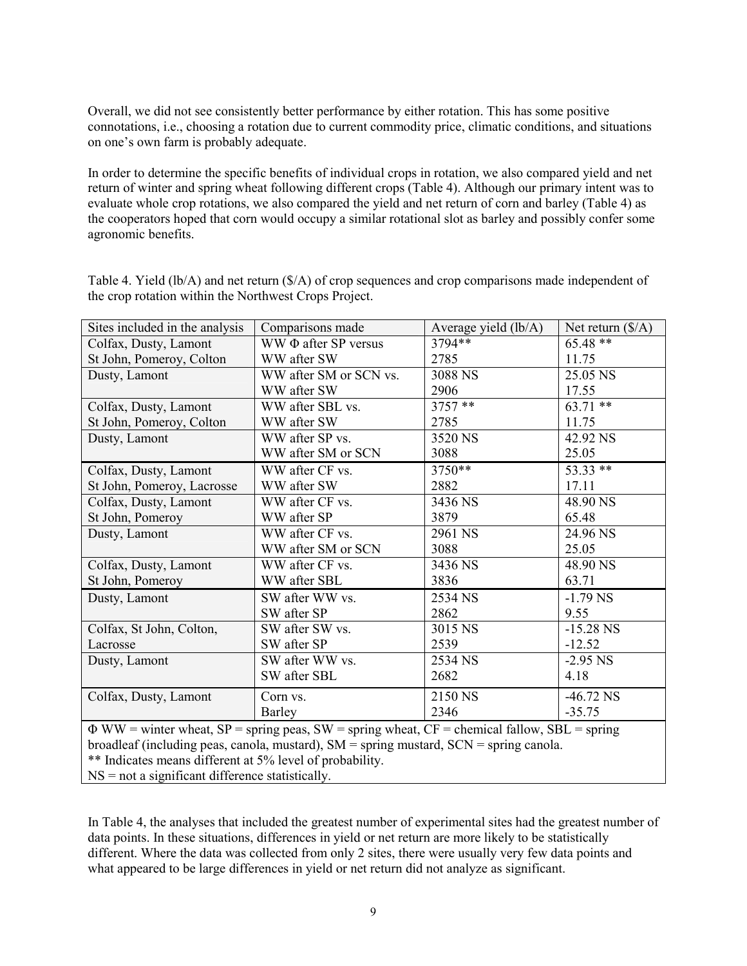Overall, we did not see consistently better performance by either rotation. This has some positive connotations, i.e., choosing a rotation due to current commodity price, climatic conditions, and situations on one's own farm is probably adequate.

In order to determine the specific benefits of individual crops in rotation, we also compared yield and net return of winter and spring wheat following different crops (Table 4). Although our primary intent was to evaluate whole crop rotations, we also compared the yield and net return of corn and barley (Table 4) as the cooperators hoped that corn would occupy a similar rotational slot as barley and possibly confer some agronomic benefits.

| Sites included in the analysis | Comparisons made          | Average yield (lb/A) | Net return $(\frac{S}{A})$ |
|--------------------------------|---------------------------|----------------------|----------------------------|
| Colfax, Dusty, Lamont          | WW $\Phi$ after SP versus | 3794**               | $65.48**$                  |
| St John, Pomeroy, Colton       | WW after SW               | 2785                 | 11.75                      |
| Dusty, Lamont                  | WW after SM or SCN vs.    | 3088 NS              | 25.05 NS                   |
|                                | WW after SW               | 2906                 | 17.55                      |
| Colfax, Dusty, Lamont          | WW after SBL vs.          | $3757**$             | $63.71**$                  |
| St John, Pomeroy, Colton       | WW after SW               | 2785                 | 11.75                      |
| Dusty, Lamont                  | WW after SP vs.           | 3520 NS              | 42.92 NS                   |
|                                | WW after SM or SCN        | 3088                 | 25.05                      |
| Colfax, Dusty, Lamont          | WW after CF vs.           | 3750**               | 53.33 **                   |
| St John, Pomeroy, Lacrosse     | WW after SW               | 2882                 | 17.11                      |
| Colfax, Dusty, Lamont          | WW after CF vs.           | 3436 NS              | 48.90 NS                   |
| St John, Pomeroy               | WW after SP               | 3879                 | 65.48                      |
| Dusty, Lamont                  | WW after CF vs.           | 2961 NS              | 24.96 NS                   |
|                                | WW after SM or SCN        | 3088                 | 25.05                      |
| Colfax, Dusty, Lamont          | WW after CF vs.           | 3436 NS              | 48.90 NS                   |
| St John, Pomeroy               | WW after SBL              | 3836                 | 63.71                      |
| Dusty, Lamont                  | SW after WW vs.           | 2534 NS              | $-1.79$ NS                 |
|                                | SW after SP               | 2862                 | 9.55                       |
| Colfax, St John, Colton,       | SW after SW vs.           | 3015 NS              | $-15.28$ NS                |
| Lacrosse                       | SW after SP               | 2539                 | $-12.52$                   |
| Dusty, Lamont                  | SW after WW vs.           | 2534 NS              | $-2.95$ NS                 |
|                                | SW after SBL              | 2682                 | 4.18                       |
| Colfax, Dusty, Lamont          | Corn vs.                  | 2150 NS              | $-46.72$ NS                |
|                                | Barley                    | 2346                 | $-35.75$                   |

Table 4. Yield (lb/A) and net return (\$/A) of crop sequences and crop comparisons made independent of the crop rotation within the Northwest Crops Project.

 $\Phi$  WW = winter wheat, SP = spring peas, SW = spring wheat, CF = chemical fallow, SBL = spring broadleaf (including peas, canola, mustard), SM = spring mustard, SCN = spring canola. \*\* Indicates means different at 5% level of probability. NS = not a significant difference statistically.

In Table 4, the analyses that included the greatest number of experimental sites had the greatest number of data points. In these situations, differences in yield or net return are more likely to be statistically different. Where the data was collected from only 2 sites, there were usually very few data points and what appeared to be large differences in yield or net return did not analyze as significant.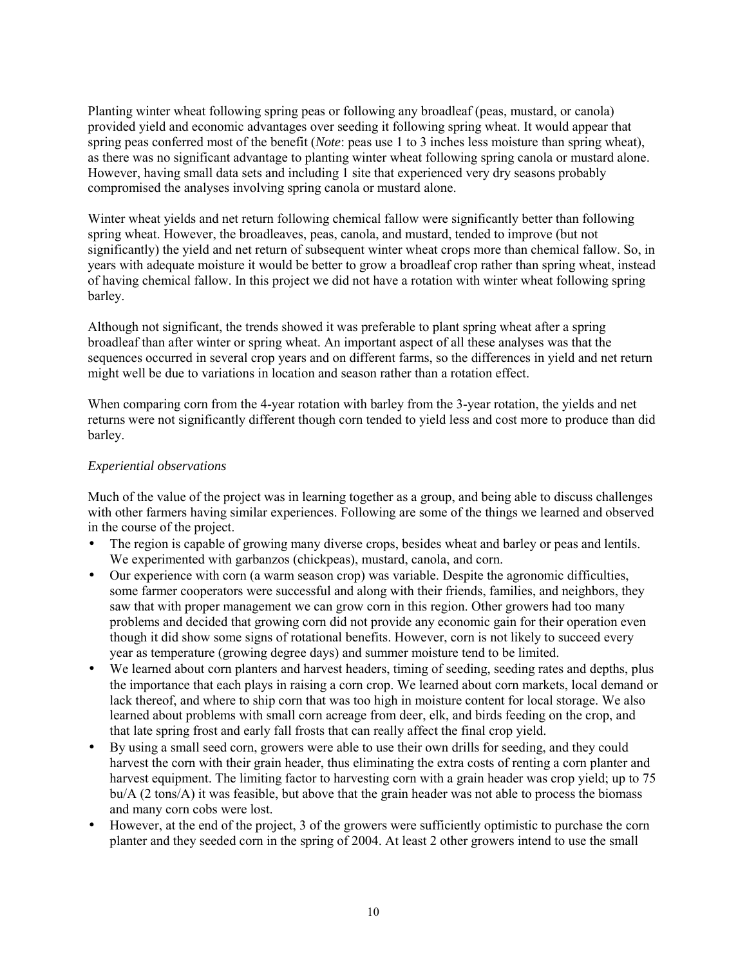Planting winter wheat following spring peas or following any broadleaf (peas, mustard, or canola) provided yield and economic advantages over seeding it following spring wheat. It would appear that spring peas conferred most of the benefit (*Note*: peas use 1 to 3 inches less moisture than spring wheat), as there was no significant advantage to planting winter wheat following spring canola or mustard alone. However, having small data sets and including 1 site that experienced very dry seasons probably compromised the analyses involving spring canola or mustard alone.

Winter wheat yields and net return following chemical fallow were significantly better than following spring wheat. However, the broadleaves, peas, canola, and mustard, tended to improve (but not significantly) the yield and net return of subsequent winter wheat crops more than chemical fallow. So, in years with adequate moisture it would be better to grow a broadleaf crop rather than spring wheat, instead of having chemical fallow. In this project we did not have a rotation with winter wheat following spring barley.

Although not significant, the trends showed it was preferable to plant spring wheat after a spring broadleaf than after winter or spring wheat. An important aspect of all these analyses was that the sequences occurred in several crop years and on different farms, so the differences in yield and net return might well be due to variations in location and season rather than a rotation effect.

When comparing corn from the 4-year rotation with barley from the 3-year rotation, the yields and net returns were not significantly different though corn tended to yield less and cost more to produce than did barley.

# *Experiential observations*

Much of the value of the project was in learning together as a group, and being able to discuss challenges with other farmers having similar experiences. Following are some of the things we learned and observed in the course of the project.

- The region is capable of growing many diverse crops, besides wheat and barley or peas and lentils. We experimented with garbanzos (chickpeas), mustard, canola, and corn.
- Our experience with corn (a warm season crop) was variable. Despite the agronomic difficulties, some farmer cooperators were successful and along with their friends, families, and neighbors, they saw that with proper management we can grow corn in this region. Other growers had too many problems and decided that growing corn did not provide any economic gain for their operation even though it did show some signs of rotational benefits. However, corn is not likely to succeed every year as temperature (growing degree days) and summer moisture tend to be limited.
- We learned about corn planters and harvest headers, timing of seeding, seeding rates and depths, plus the importance that each plays in raising a corn crop. We learned about corn markets, local demand or lack thereof, and where to ship corn that was too high in moisture content for local storage. We also learned about problems with small corn acreage from deer, elk, and birds feeding on the crop, and that late spring frost and early fall frosts that can really affect the final crop yield.
- By using a small seed corn, growers were able to use their own drills for seeding, and they could harvest the corn with their grain header, thus eliminating the extra costs of renting a corn planter and harvest equipment. The limiting factor to harvesting corn with a grain header was crop yield; up to 75 bu/A (2 tons/A) it was feasible, but above that the grain header was not able to process the biomass and many corn cobs were lost.
- However, at the end of the project, 3 of the growers were sufficiently optimistic to purchase the corn planter and they seeded corn in the spring of 2004. At least 2 other growers intend to use the small